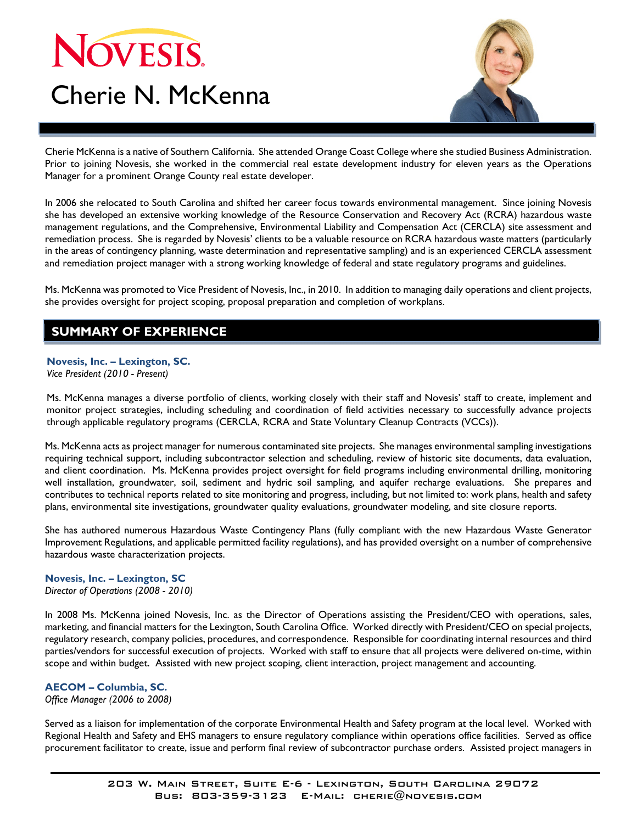# NOVESIS. Cherie N. McKenna



Cherie McKenna is a native of Southern California. She attended Orange Coast College where she studied Business Administration. Prior to joining Novesis, she worked in the commercial real estate development industry for eleven years as the Operations Manager for a prominent Orange County real estate developer.

In 2006 she relocated to South Carolina and shifted her career focus towards environmental management. Since joining Novesis she has developed an extensive working knowledge of the Resource Conservation and Recovery Act (RCRA) hazardous waste management regulations, and the Comprehensive, Environmental Liability and Compensation Act (CERCLA) site assessment and remediation process. She is regarded by Novesis' clients to be a valuable resource on RCRA hazardous waste matters (particularly in the areas of contingency planning, waste determination and representative sampling) and is an experienced CERCLA assessment and remediation project manager with a strong working knowledge of federal and state regulatory programs and guidelines.

Ms. McKenna was promoted to Vice President of Novesis, Inc., in 2010. In addition to managing daily operations and client projects, she provides oversight for project scoping, proposal preparation and completion of workplans.

## **SUMMARY OF EXPERIENCE**

#### **Novesis, Inc. – Lexington, SC.**

*Vice President (2010 - Present)* 

Ms. McKenna manages a diverse portfolio of clients, working closely with their staff and Novesis' staff to create, implement and monitor project strategies, including scheduling and coordination of field activities necessary to successfully advance projects through applicable regulatory programs (CERCLA, RCRA and State Voluntary Cleanup Contracts (VCCs)).

Ms. McKenna acts as project manager for numerous contaminated site projects. She manages environmental sampling investigations requiring technical support, including subcontractor selection and scheduling, review of historic site documents, data evaluation, and client coordination. Ms. McKenna provides project oversight for field programs including environmental drilling, monitoring well installation, groundwater, soil, sediment and hydric soil sampling, and aquifer recharge evaluations. She prepares and contributes to technical reports related to site monitoring and progress, including, but not limited to: work plans, health and safety plans, environmental site investigations, groundwater quality evaluations, groundwater modeling, and site closure reports.

She has authored numerous Hazardous Waste Contingency Plans (fully compliant with the new Hazardous Waste Generator Improvement Regulations, and applicable permitted facility regulations), and has provided oversight on a number of comprehensive hazardous waste characterization projects.

#### **Novesis, Inc. – Lexington, SC**

*Director of Operations (2008 - 2010)* 

In 2008 Ms. McKenna joined Novesis, Inc. as the Director of Operations assisting the President/CEO with operations, sales, marketing, and financial matters for the Lexington, South Carolina Office. Worked directly with President/CEO on special projects, regulatory research, company policies, procedures, and correspondence. Responsible for coordinating internal resources and third parties/vendors for successful execution of projects. Worked with staff to ensure that all projects were delivered on-time, within scope and within budget. Assisted with new project scoping, client interaction, project management and accounting.

### **AECOM – Columbia, SC.**

*Office Manager (2006 to 2008)* 

Served as a liaison for implementation of the corporate Environmental Health and Safety program at the local level. Worked with Regional Health and Safety and EHS managers to ensure regulatory compliance within operations office facilities. Served as office procurement facilitator to create, issue and perform final review of subcontractor purchase orders. Assisted project managers in